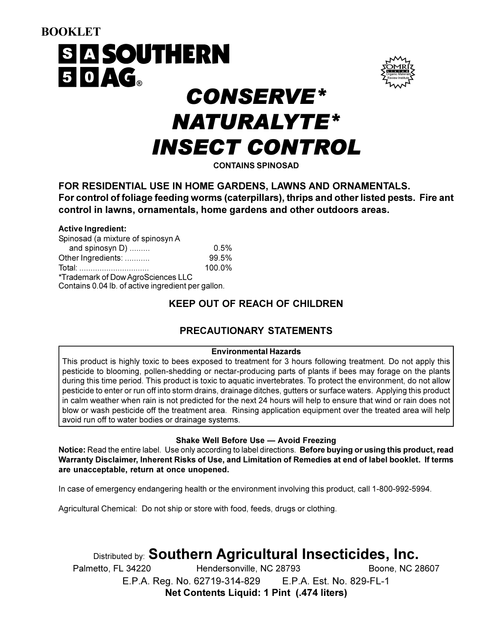# **BOOKLET SIA SOUTHERN** 50AG. **CONSERVE\* NATURALYTE\* INSECT CONTROL**

**CONTAINS SPINOSAD** 

FOR RESIDENTIAL USE IN HOME GARDENS. LAWNS AND ORNAMENTALS. For control of foliage feeding worms (caterpillars), thrips and other listed pests. Fire ant control in lawns, ornamentals, home gardens and other outdoors areas.

#### **Active Ingredient:**

| Spinosad (a mixture of spinosyn A                                                        |        |
|------------------------------------------------------------------------------------------|--------|
| and spinosyn D)                                                                          | 0.5%   |
| Other Ingredients:                                                                       | 99.5%  |
| <u>Total: </u>                                                                           | 100.0% |
| *Trademark of Dow AgroSciences LLC<br>Contains 0.04 lb. of active ingredient per gallon. |        |

# **KEEP OUT OF REACH OF CHILDREN**

## PRECAUTIONARY STATEMENTS

#### **Environmental Hazards**

This product is highly toxic to bees exposed to treatment for 3 hours following treatment. Do not apply this pesticide to blooming, pollen-shedding or nectar-producing parts of plants if bees may forage on the plants during this time period. This product is toxic to aquatic invertebrates. To protect the environment, do not allow pesticide to enter or run off into storm drains, drainage ditches, gutters or surface waters. Applying this product in calm weather when rain is not predicted for the next 24 hours will help to ensure that wind or rain does not blow or wash pesticide off the treatment area. Rinsing application equipment over the treated area will help avoid run off to water bodies or drainage systems.

#### **Shake Well Before Use - Avoid Freezing**

Notice: Read the entire label. Use only according to label directions. Before buying or using this product, read Warranty Disclaimer, Inherent Risks of Use, and Limitation of Remedies at end of label booklet. If terms are unacceptable, return at once unopened.

In case of emergency endangering health or the environment involving this product, call 1-800-992-5994.

Agricultural Chemical: Do not ship or store with food, feeds, drugs or clothing.

# Distributed by: Southern Agricultural Insecticides, Inc.

Palmetto, FL 34220 Hendersonville, NC 28793 Boone, NC 28607 E.P.A. Reg. No. 62719-314-829 E.P.A. Est. No. 829-FL-1 Net Contents Liquid: 1 Pint (.474 liters)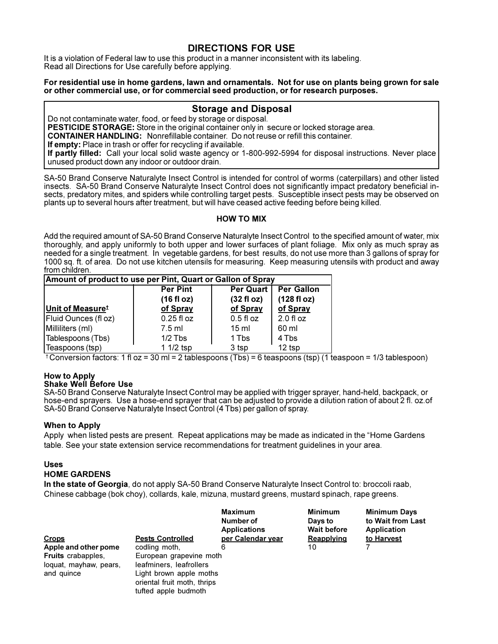### **DIRECTIONS FOR USE**

It is a violation of Federal law to use this product in a manner inconsistent with its labeling. Read all Directions for Use carefully before applying.

#### For residential use in home gardens, lawn and ornamentals. Not for use on plants being grown for sale or other commercial use, or for commercial seed production, or for research purposes.

#### **Storage and Disposal**

Do not contaminate water, food, or feed by storage or disposal.

**PESTICIDE STORAGE:** Store in the original container only in secure or locked storage area.

**CONTAINER HANDLING:** Nonrefillable container. Do not reuse or refill this container.

If empty: Place in trash or offer for recycling if available.

If partly filled: Call your local solid waste agency or 1-800-992-5994 for disposal instructions. Never place unused product down any indoor or outdoor drain.

SA-50 Brand Conserve Naturalyte Insect Control is intended for control of worms (caterpillars) and other listed insects. SA-50 Brand Conserve Naturalyte Insect Control does not significantly impact predatory beneficial insects, predatory mites, and spiders while controlling target pests. Susceptible insect pests may be observed on plants up to several hours after treatment, but will have ceased active feeding before being killed.

#### **HOW TO MIX**

Add the required amount of SA-50 Brand Conserve Naturalyte Insect Control to the specified amount of water, mix thoroughly, and apply uniformly to both upper and lower surfaces of plant foliage. Mix only as much spray as needed for a single treatment. In vegetable gardens, for best results, do not use more than 3 gallons of spray for 1000 sq. ft. of area. Do not use kitchen utensils for measuring. Keep measuring utensils with product and away from children.

| Amount of product to use per Pint, Quart or Gallon of Spray |                      |                  |                   |  |
|-------------------------------------------------------------|----------------------|------------------|-------------------|--|
|                                                             | <b>Per Pint</b>      | Per Quart        | <b>Per Gallon</b> |  |
|                                                             | $(16 \text{ fl oz})$ | (32 f1 oz)       | (128 f1 oz)       |  |
| Unit of Measure <sup>t</sup>                                | of Spray             | of Spray         | of Spray          |  |
| Fluid Ounces (fl oz)                                        | $0.25$ fl oz         | $0.5f$ loz       | 2.0 f1 oz         |  |
| Milliliters (ml)                                            | $7.5$ ml             | 15 <sub>ml</sub> | 60 ml             |  |
| Tablespoons (Tbs)                                           | $1/2$ Tbs            | 1 Tbs            | 4 Tbs             |  |
| Teaspoons (tsp)                                             | 1 1/2 tsp            | 3 tsp            | 12 tsp            |  |

 $\text{\textdegree}$  Conversion factors: 1 fl oz = 30 ml = 2 tablespoons (Tbs) = 6 teaspoons (tsp) (1 teaspoon = 1/3 tablespoon)

#### **How to Apply Shake Well Before Use**

SA-50 Brand Conserve Naturalyte Insect Control may be applied with trigger sprayer, hand-held, backpack, or hose-end sprayers. Use a hose-end sprayer that can be adjusted to provide a dilution ration of about 2 fl. oz.of SA-50 Brand Conserve Naturalyte Insect Control (4 Tbs) per gallon of spray.

#### **When to Apply**

Apply when listed pests are present. Repeat applications may be made as indicated in the "Home Gardens" table. See your state extension service recommendations for treatment guidelines in your area.

#### **Uses**

#### **HOME GARDENS**

In the state of Georgia, do not apply SA-50 Brand Conserve Naturalyte Insect Control to: broccoli raab, Chinese cabbage (bok choy), collards, kale, mizuna, mustard greens, mustard spinach, rape greens.

|                           |                             | <b>Maximum</b><br>Number of<br>Applications | <b>Minimum</b><br>Days to<br><b>Wait before</b> | <b>Minimum Days</b><br>to Wait from Last<br>Application |
|---------------------------|-----------------------------|---------------------------------------------|-------------------------------------------------|---------------------------------------------------------|
| <b>Crops</b>              | <b>Pests Controlled</b>     | per Calendar year                           | Reapplying                                      | to Harvest                                              |
| Apple and other pome      | codling moth.               | 6                                           | 10                                              |                                                         |
| <b>Fruits</b> crabapples. | European grapevine moth     |                                             |                                                 |                                                         |
| loquat, mayhaw, pears,    | leafminers, leafrollers     |                                             |                                                 |                                                         |
| and quince                | Light brown apple moths     |                                             |                                                 |                                                         |
|                           | oriental fruit moth, thrips |                                             |                                                 |                                                         |
|                           | tufted apple budmoth        |                                             |                                                 |                                                         |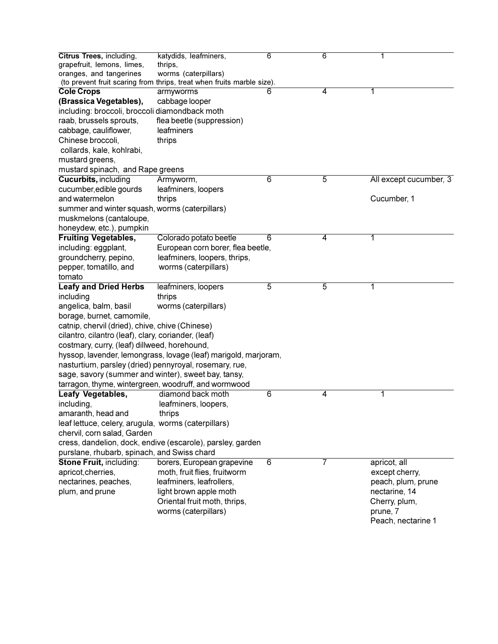| Citrus Trees, including,<br>grapefruit, lemons, limes,<br>oranges, and tangerines | katydids, leafminers,<br>thrips,<br>worms (caterpillars)               | 6 | 6 | 1                      |
|-----------------------------------------------------------------------------------|------------------------------------------------------------------------|---|---|------------------------|
|                                                                                   | (to prevent fruit scaring from thrips, treat when fruits marble size). |   |   |                        |
| <b>Cole Crops</b>                                                                 | armyworms                                                              | 6 | 4 | 1                      |
| (Brassica Vegetables),                                                            | cabbage looper                                                         |   |   |                        |
| including: broccoli, broccoli diamondback moth                                    |                                                                        |   |   |                        |
| raab, brussels sprouts,                                                           | flea beetle (suppression)                                              |   |   |                        |
| cabbage, cauliflower,                                                             | leafminers                                                             |   |   |                        |
| Chinese broccoli,                                                                 | thrips                                                                 |   |   |                        |
| collards, kale, kohlrabi,                                                         |                                                                        |   |   |                        |
| mustard greens,                                                                   |                                                                        |   |   |                        |
| mustard spinach, and Rape greens                                                  |                                                                        |   |   |                        |
| <b>Cucurbits, including</b>                                                       | Armyworm,                                                              | 6 | 5 | All except cucumber, 3 |
| cucumber, edible gourds                                                           | leafminers, loopers                                                    |   |   |                        |
| and watermelon                                                                    | thrips                                                                 |   |   | Cucumber, 1            |
| summer and winter squash, worms (caterpillars)                                    |                                                                        |   |   |                        |
| muskmelons (cantaloupe,                                                           |                                                                        |   |   |                        |
| honeydew, etc.), pumpkin                                                          |                                                                        |   |   |                        |
| <b>Fruiting Vegetables,</b>                                                       | Colorado potato beetle                                                 | 6 | 4 | 1                      |
| including: eggplant,                                                              | European corn borer, flea beetle,                                      |   |   |                        |
| groundcherry, pepino,                                                             | leafminers, loopers, thrips,                                           |   |   |                        |
| pepper, tomatillo, and                                                            | worms (caterpillars)                                                   |   |   |                        |
| tomato                                                                            |                                                                        |   |   |                        |
| <b>Leafy and Dried Herbs</b>                                                      | leafminers, loopers                                                    | 5 | 5 | 1                      |
| including                                                                         | thrips                                                                 |   |   |                        |
| angelica, balm, basil                                                             | worms (caterpillars)                                                   |   |   |                        |
| borage, burnet, camomile,                                                         |                                                                        |   |   |                        |
| catnip, chervil (dried), chive, chive (Chinese)                                   |                                                                        |   |   |                        |
| cilantro, cilantro (leaf), clary, coriander, (leaf)                               |                                                                        |   |   |                        |
| costmary, curry, (leaf) dillweed, horehound,                                      |                                                                        |   |   |                        |
|                                                                                   | hyssop, lavender, lemongrass, lovage (leaf) marigold, marjoram,        |   |   |                        |
|                                                                                   | nasturtium, parsley (dried) pennyroyal, rosemary, rue,                 |   |   |                        |
|                                                                                   | sage, savory (summer and winter), sweet bay, tansy,                    |   |   |                        |
|                                                                                   | tarragon, thyme, wintergreen, woodruff, and wormwood                   |   |   |                        |
| Leafy Vegetables,                                                                 | diamond back moth                                                      | 6 | 4 | 1                      |
| including,                                                                        | leafminers, loopers,                                                   |   |   |                        |
| amaranth, head and                                                                | thrips                                                                 |   |   |                        |
| leaf lettuce, celery, arugula, worms (caterpillars)                               |                                                                        |   |   |                        |
| chervil, corn salad, Garden                                                       |                                                                        |   |   |                        |
|                                                                                   | cress, dandelion, dock, endive (escarole), parsley, garden             |   |   |                        |
| purslane, rhubarb, spinach, and Swiss chard                                       |                                                                        |   |   |                        |
| Stone Fruit, including:                                                           | borers, European grapevine                                             | 6 | 7 | apricot, all           |
| apricot, cherries,                                                                | moth, fruit flies, fruitworm                                           |   |   | except cherry,         |
| nectarines, peaches,                                                              | leafminers, leafrollers,                                               |   |   | peach, plum, prune     |
| plum, and prune                                                                   | light brown apple moth                                                 |   |   | nectarine, 14          |
|                                                                                   | Oriental fruit moth, thrips,                                           |   |   | Cherry, plum,          |
|                                                                                   | worms (caterpillars)                                                   |   |   | prune, 7               |
|                                                                                   |                                                                        |   |   | Peach, nectarine 1     |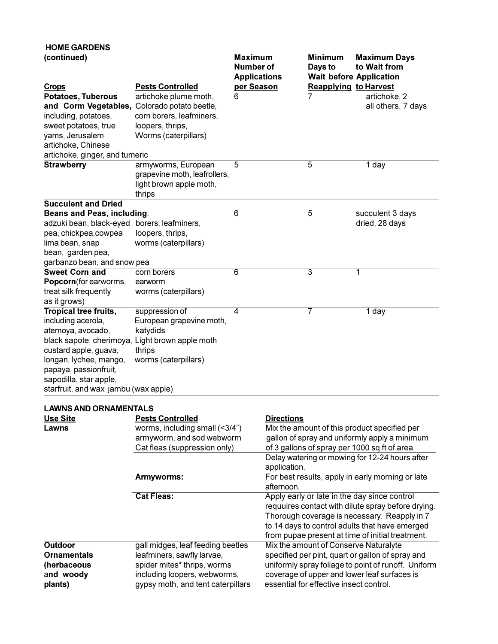| <b>HOME GARDENS</b><br>(continued)                                                                                                                                                                                   |                                                                                                                          | <b>Maximum</b><br>Number of<br><b>Applications</b> |                   | <b>Minimum</b><br>Days to<br><b>Wait before Application</b> | <b>Maximum Days</b><br>to Wait from                 |
|----------------------------------------------------------------------------------------------------------------------------------------------------------------------------------------------------------------------|--------------------------------------------------------------------------------------------------------------------------|----------------------------------------------------|-------------------|-------------------------------------------------------------|-----------------------------------------------------|
| <u>Crops</u><br><b>Potatoes, Tuberous</b><br>and Corm Vegetables, Colorado potato beetle,<br>including, potatoes,<br>sweet potatoes, true<br>yams, Jerusalem<br>artichoke, Chinese<br>artichoke, ginger, and tumeric | <b>Pests Controlled</b><br>artichoke plume moth,<br>corn borers, leafminers,<br>loopers, thrips,<br>Worms (caterpillars) | per Season<br>6                                    |                   | <b>Reapplying to Harvest</b><br>7                           | artichoke, 2<br>all others, 7 days                  |
| <b>Strawberry</b>                                                                                                                                                                                                    | armyworms, European<br>grapevine moth, leafrollers,<br>light brown apple moth,<br>thrips                                 | 5                                                  |                   | $\overline{5}$                                              | 1 day                                               |
| <b>Succulent and Dried</b>                                                                                                                                                                                           |                                                                                                                          |                                                    |                   |                                                             |                                                     |
| Beans and Peas, including:                                                                                                                                                                                           |                                                                                                                          | 6                                                  |                   | 5                                                           | succulent 3 days                                    |
| adzuki bean, black-eyed borers, leafminers,                                                                                                                                                                          |                                                                                                                          |                                                    |                   |                                                             | dried, 28 days                                      |
| pea, chickpea, cowpea                                                                                                                                                                                                | loopers, thrips,                                                                                                         |                                                    |                   |                                                             |                                                     |
| lima bean, snap                                                                                                                                                                                                      | worms (caterpillars)                                                                                                     |                                                    |                   |                                                             |                                                     |
| bean, garden pea,                                                                                                                                                                                                    |                                                                                                                          |                                                    |                   |                                                             |                                                     |
| garbanzo bean, and snow pea                                                                                                                                                                                          |                                                                                                                          |                                                    |                   |                                                             |                                                     |
| <b>Sweet Corn and</b>                                                                                                                                                                                                | corn borers                                                                                                              | $\overline{6}$                                     |                   | 3                                                           | 1                                                   |
| Popcorn(for earworms,                                                                                                                                                                                                | earworm                                                                                                                  |                                                    |                   |                                                             |                                                     |
| treat silk frequently                                                                                                                                                                                                | worms (caterpillars)                                                                                                     |                                                    |                   |                                                             |                                                     |
| as it grows)                                                                                                                                                                                                         |                                                                                                                          |                                                    |                   |                                                             |                                                     |
| <b>Tropical tree fruits,</b>                                                                                                                                                                                         | suppression of                                                                                                           | 4                                                  |                   | 7                                                           | 1 day                                               |
| including acerola,                                                                                                                                                                                                   | European grapevine moth,                                                                                                 |                                                    |                   |                                                             |                                                     |
| atemoya, avocado,                                                                                                                                                                                                    | katydids                                                                                                                 |                                                    |                   |                                                             |                                                     |
| black sapote, cherimoya, Light brown apple moth                                                                                                                                                                      |                                                                                                                          |                                                    |                   |                                                             |                                                     |
| custard apple, guava,                                                                                                                                                                                                | thrips                                                                                                                   |                                                    |                   |                                                             |                                                     |
| longan, lychee, mango,<br>papaya, passionfruit,<br>sapodilla, star apple,                                                                                                                                            | worms (caterpillars)                                                                                                     |                                                    |                   |                                                             |                                                     |
| starfruit, and wax jambu (wax apple)                                                                                                                                                                                 |                                                                                                                          |                                                    |                   |                                                             |                                                     |
|                                                                                                                                                                                                                      |                                                                                                                          |                                                    |                   |                                                             |                                                     |
| LAWNS AND ORNAMENTALS                                                                                                                                                                                                |                                                                                                                          |                                                    |                   |                                                             |                                                     |
| <b>Use Site</b>                                                                                                                                                                                                      | <b>Pests Controlled</b>                                                                                                  |                                                    | <b>Directions</b> |                                                             |                                                     |
| Lawns                                                                                                                                                                                                                | worms, including small (<3/4")                                                                                           |                                                    |                   |                                                             | Mix the amount of this product specified per        |
|                                                                                                                                                                                                                      | armyworm, and sod webworm                                                                                                |                                                    |                   |                                                             | gallon of spray and uniformly apply a minimum       |
|                                                                                                                                                                                                                      | Cat fleas (suppression only)                                                                                             |                                                    |                   |                                                             | of 3 gallons of spray per 1000 sq ft of area.       |
|                                                                                                                                                                                                                      |                                                                                                                          |                                                    | application.      |                                                             | Delay watering or mowing for 12-24 hours after      |
|                                                                                                                                                                                                                      | Armyworms:                                                                                                               |                                                    | afternoon.        |                                                             | For best results, apply in early morning or late    |
|                                                                                                                                                                                                                      | <b>Cat Fleas:</b>                                                                                                        |                                                    |                   |                                                             | Apply early or late in the day since control        |
|                                                                                                                                                                                                                      |                                                                                                                          |                                                    |                   |                                                             | requuires contact with dilute spray before drying.  |
|                                                                                                                                                                                                                      |                                                                                                                          |                                                    |                   |                                                             | Thorough coverage is necessary. Reapply in 7        |
|                                                                                                                                                                                                                      |                                                                                                                          |                                                    |                   |                                                             | to 14 days to control adults that have emerged      |
|                                                                                                                                                                                                                      |                                                                                                                          |                                                    |                   |                                                             | from pupae present at time of initial treatment.    |
| Outdoor                                                                                                                                                                                                              | gall midges, leaf feeding beetles                                                                                        |                                                    |                   |                                                             | Mix the amount of Conserve Naturalyte               |
| <b>Ornamentals</b>                                                                                                                                                                                                   | leafminers, sawfly larvae,                                                                                               |                                                    |                   |                                                             | specified per pint, quart or gallon of spray and    |
| (herbaceous                                                                                                                                                                                                          | spider mites* thrips, worms                                                                                              |                                                    |                   |                                                             | uniformly spray foliage to point of runoff. Uniform |
| and woody                                                                                                                                                                                                            | including loopers, webworms,                                                                                             |                                                    |                   |                                                             | coverage of upper and lower leaf surfaces is        |
| plants)                                                                                                                                                                                                              | gypsy moth, and tent caterpillars                                                                                        |                                                    |                   | essential for effective insect control.                     |                                                     |